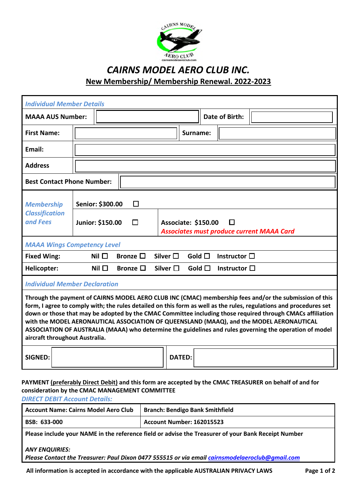

## *CAIRNS MODEL AERO CLUB INC.*  **New Membership/ Membership Renewal. 2022-2023**

| <b>Individual Member Details</b>                                                                                                                                                                                                                                                                                                                                                                                                                                                                                                                                                    |  |                                      |  |                  |  |                                                                              |                       |                |                      |  |
|-------------------------------------------------------------------------------------------------------------------------------------------------------------------------------------------------------------------------------------------------------------------------------------------------------------------------------------------------------------------------------------------------------------------------------------------------------------------------------------------------------------------------------------------------------------------------------------|--|--------------------------------------|--|------------------|--|------------------------------------------------------------------------------|-----------------------|----------------|----------------------|--|
| <b>MAAA AUS Number:</b>                                                                                                                                                                                                                                                                                                                                                                                                                                                                                                                                                             |  |                                      |  |                  |  |                                                                              | <b>Date of Birth:</b> |                |                      |  |
| <b>First Name:</b>                                                                                                                                                                                                                                                                                                                                                                                                                                                                                                                                                                  |  |                                      |  |                  |  |                                                                              | Surname:              |                |                      |  |
| Email:                                                                                                                                                                                                                                                                                                                                                                                                                                                                                                                                                                              |  |                                      |  |                  |  |                                                                              |                       |                |                      |  |
| <b>Address</b>                                                                                                                                                                                                                                                                                                                                                                                                                                                                                                                                                                      |  |                                      |  |                  |  |                                                                              |                       |                |                      |  |
| <b>Best Contact Phone Number:</b>                                                                                                                                                                                                                                                                                                                                                                                                                                                                                                                                                   |  |                                      |  |                  |  |                                                                              |                       |                |                      |  |
| <b>Membership</b>                                                                                                                                                                                                                                                                                                                                                                                                                                                                                                                                                                   |  | Senior: \$300.00<br>$\Box$           |  |                  |  |                                                                              |                       |                |                      |  |
| <b>Classification</b><br>and Fees                                                                                                                                                                                                                                                                                                                                                                                                                                                                                                                                                   |  | Junior: \$150.00<br>П                |  |                  |  | Associate: \$150.00<br>П<br><b>Associates must produce current MAAA Card</b> |                       |                |                      |  |
| <b>MAAA Wings Competency Level</b>                                                                                                                                                                                                                                                                                                                                                                                                                                                                                                                                                  |  |                                      |  |                  |  |                                                                              |                       |                |                      |  |
| <b>Fixed Wing:</b>                                                                                                                                                                                                                                                                                                                                                                                                                                                                                                                                                                  |  | Nil $\square$                        |  | Bronze $\square$ |  | Silver $\Box$                                                                |                       | Gold $\Box$    | Instructor $\Box$    |  |
| <b>Helicopter:</b>                                                                                                                                                                                                                                                                                                                                                                                                                                                                                                                                                                  |  | Nil $\square$                        |  | Bronze $\square$ |  | Silver $\square$                                                             |                       | Gold $\square$ | Instructor $\square$ |  |
|                                                                                                                                                                                                                                                                                                                                                                                                                                                                                                                                                                                     |  | <b>Individual Member Declaration</b> |  |                  |  |                                                                              |                       |                |                      |  |
| Through the payment of CAIRNS MODEL AERO CLUB INC (CMAC) membership fees and/or the submission of this<br>form, I agree to comply with; the rules detailed on this form as well as the rules, regulations and procedures set<br>down or those that may be adopted by the CMAC Committee including those required through CMACs affiliation<br>with the MODEL AERONAUTICAL ASSOCIATION OF QUEENSLAND (MAAQ), and the MODEL AERONAUTICAL<br>ASSOCIATION OF AUSTRALIA (MAAA) who determine the guidelines and rules governing the operation of model<br>aircraft throughout Australia. |  |                                      |  |                  |  |                                                                              |                       |                |                      |  |
| <b>SIGNED:</b>                                                                                                                                                                                                                                                                                                                                                                                                                                                                                                                                                                      |  |                                      |  |                  |  | <b>DATED:</b>                                                                |                       |                |                      |  |

## **PAYMENT (preferably Direct Debit) and this form are accepted by the CMAC TREASURER on behalf of and for consideration by the CMAC MANAGEMENT COMMITTEE**

*DIRECT DEBIT Account Details:* 

| <b>Account Name: Cairns Model Aero Club</b> | <b>Branch: Bendigo Bank Smithfield</b> |  |  |  |  |  |  |
|---------------------------------------------|----------------------------------------|--|--|--|--|--|--|
| BSB: 633-000                                | Account Number: 162015523              |  |  |  |  |  |  |
| $ -$                                        |                                        |  |  |  |  |  |  |

**Please include your NAME in the reference field or advise the Treasurer of your Bank Receipt Number** 

## *ANY ENQUIRIES:*

*Please Contact the Treasurer: Paul Dixon 0477 555515 or via email [cairnsmodelaeroclub@gmail.com](mailto:cairnsmodelaeroclub@gmail.com)*

**All information is accepted in accordance with the applicable AUSTRALIAN PRIVACY LAWS Page 1 of 2**